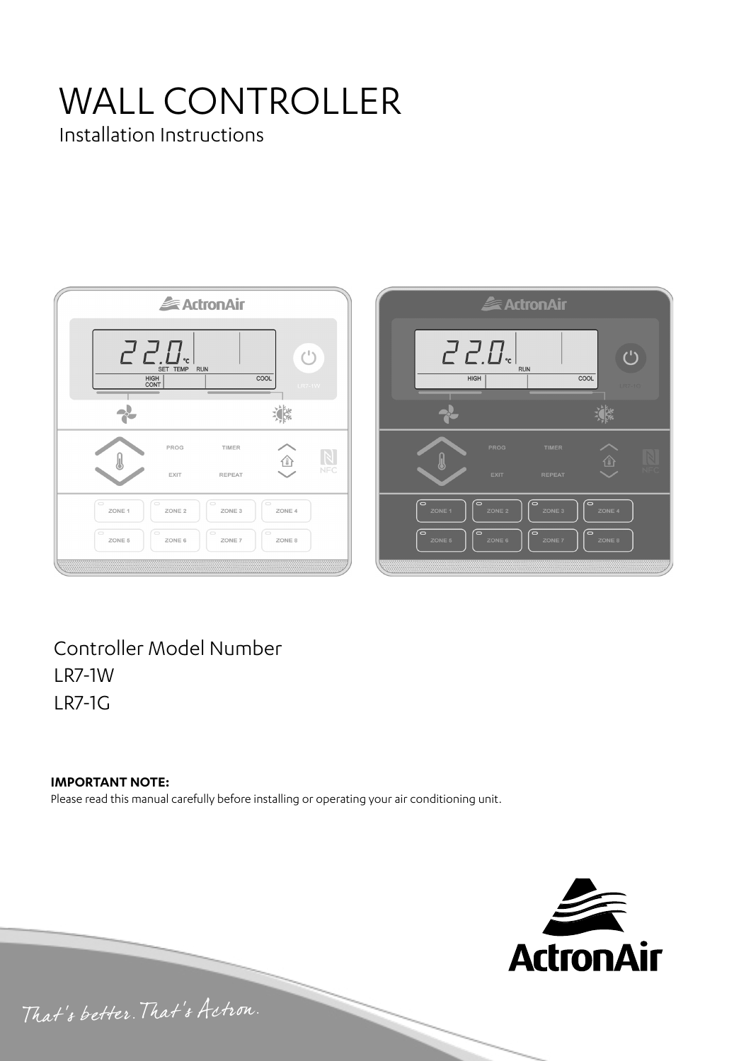# WALL CONTROLLER

Installation Instructions





Controller Model Number LR7-1W LR7-1G

#### **IMPORTANT NOTE:**

Please read this manual carefully before installing or operating your air conditioning unit.



That's better. That's Actron.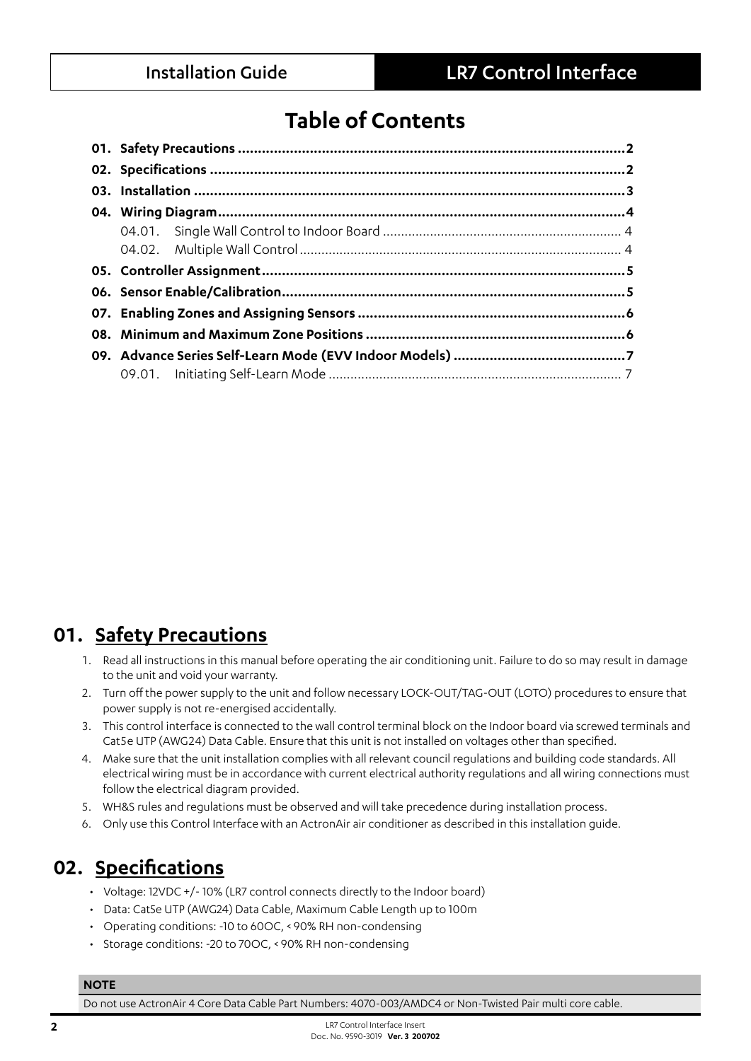# **Table of Contents**

# **01. Safety Precautions**

- 1. Read all instructions in this manual before operating the air conditioning unit. Failure to do so may result in damage to the unit and void your warranty.
- 2. Turn off the power supply to the unit and follow necessary LOCK-OUT/TAG-OUT (LOTO) procedures to ensure that power supply is not re-energised accidentally.
- 3. This control interface is connected to the wall control terminal block on the Indoor board via screwed terminals and Cat5e UTP (AWG24) Data Cable. Ensure that this unit is not installed on voltages other than specified.
- 4. Make sure that the unit installation complies with all relevant council regulations and building code standards. All electrical wiring must be in accordance with current electrical authority regulations and all wiring connections must follow the electrical diagram provided.
- 5. WH&S rules and regulations must be observed and will take precedence during installation process.
- 6. Only use this Control Interface with an ActronAir air conditioner as described in this installation guide.

## **02. Specifications**

- Voltage: 12VDC +/- 10% (LR7 control connects directly to the Indoor board)
- Data: Cat5e UTP (AWG24) Data Cable, Maximum Cable Length up to 100m
- Operating conditions: -10 to 60OC, < 90% RH non-condensing
- Storage conditions: -20 to 70OC, < 90% RH non-condensing

#### **NOTE**

Do not use ActronAir 4 Core Data Cable Part Numbers: 4070-003/AMDC4 or Non-Twisted Pair multi core cable.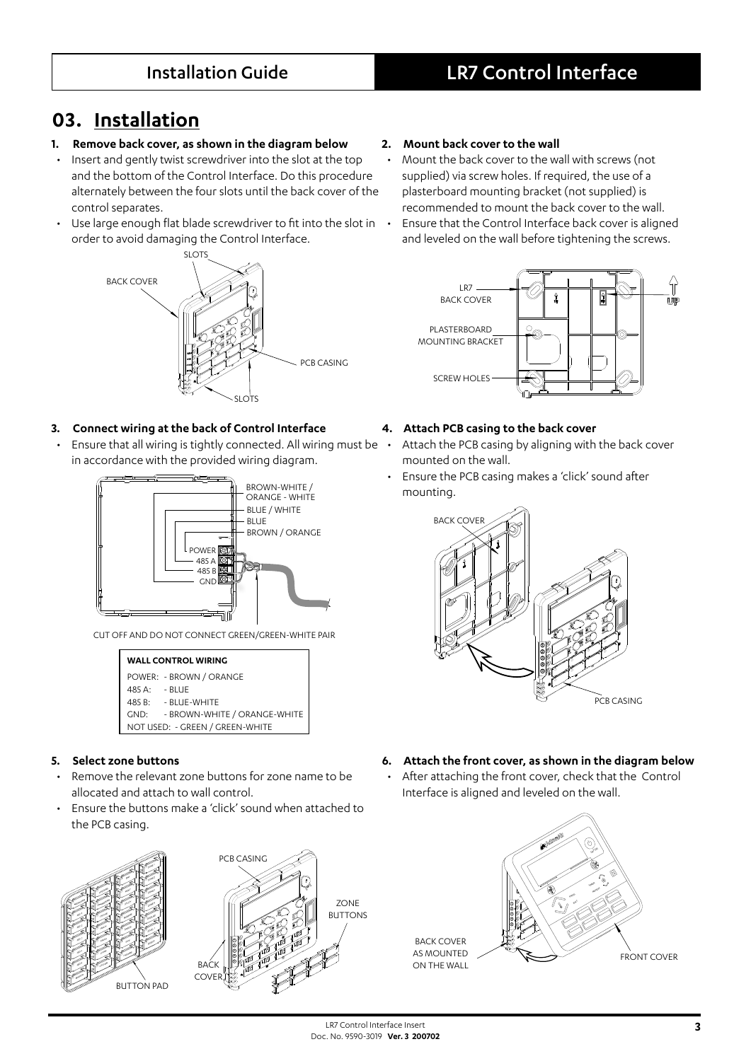# **03. Installation**

#### **1. Remove back cover, as shown in the diagram below**

- Insert and gently twist screwdriver into the slot at the top and the bottom of the Control Interface. Do this procedure alternately between the four slots until the back cover of the control separates.
- Use large enough flat blade screwdriver to fit into the slot in order to avoid damaging the Control Interface.



#### **3. Connect wiring at the back of Control Interface**

• Ensure that all wiring is tightly connected. All wiring must be in accordance with the provided wiring diagram.



CUT OFF AND DO NOT CONNECT GREEN/GREEN-WHITE PAIR



#### **5. Select zone buttons**

- Remove the relevant zone buttons for zone name to be allocated and attach to wall control.
- Ensure the buttons make a 'click' sound when attached to the PCB casing.





#### **2. Mount back cover to the wall**

- Mount the back cover to the wall with screws (not supplied) via screw holes. If required, the use of a plasterboard mounting bracket (not supplied) is recommended to mount the back cover to the wall. • Ensure that the Control Interface back cover is aligned
	- and leveled on the wall before tightening the screws.



#### **4. Attach PCB casing to the back cover**

- Attach the PCB casing by aligning with the back cover mounted on the wall.
- Ensure the PCB casing makes a 'click' sound after mounting.



- **6. Attach the front cover, as shown in the diagram below** 
	- After attaching the front cover, check that the Control Interface is aligned and leveled on the wall.

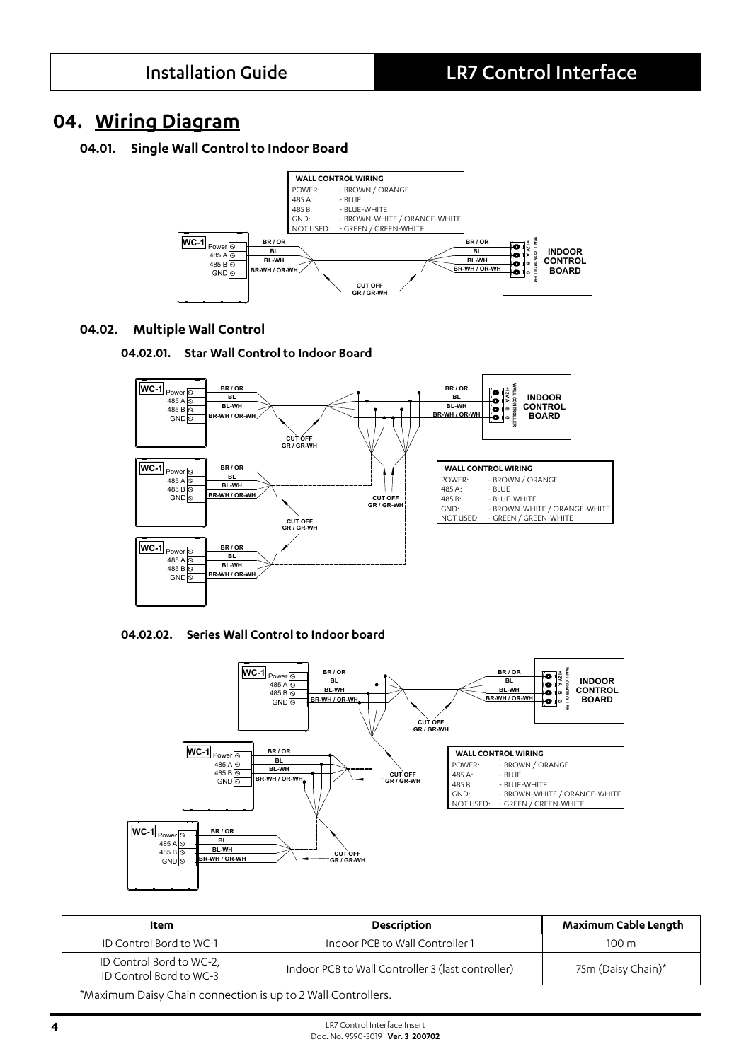### **04. Wiring Diagram**

#### **04.01. Single Wall Control to Indoor Board**



#### **04.02. Multiple Wall Control**





#### **04.02.02. Series Wall Control to Indoor board**



| ltem                                                         | <b>Description</b>                                | Maximum Cable Length |  |  |  |
|--------------------------------------------------------------|---------------------------------------------------|----------------------|--|--|--|
| ID Control Bord to WC-1                                      | Indoor PCB to Wall Controller 1                   | 100 m                |  |  |  |
| ID Control Bord to WC-2,<br>ID Control Bord to WC-3          | Indoor PCB to Wall Controller 3 (last controller) | 75m (Daisy Chain)*   |  |  |  |
| *Maujanum Daisu Chain sanna atisa isun ta 21Mell Canteallaga |                                                   |                      |  |  |  |

\*Maximum Daisy Chain connection is up to 2 Wall Controllers.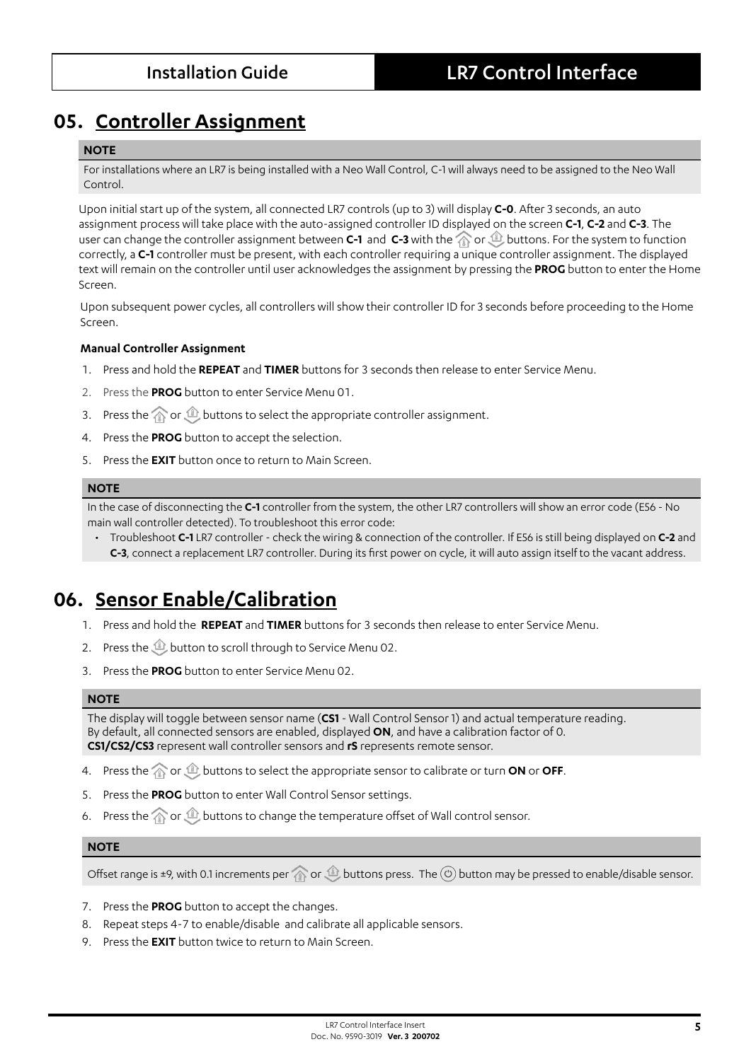## **05. Controller Assignment**

#### **NOTE**

For installations where an LR7 is being installed with a Neo Wall Control, C-1 will always need to be assigned to the Neo Wall Control.

Upon initial start up of the system, all connected LR7 controls (up to 3) will display **C-0**. After 3 seconds, an auto assignment process will take place with the auto-assigned controller ID displayed on the screen **C-1**, **C-2** and **C-3**. The user can change the controller assignment between **C-1** and **C-3** with the  $\textcircled{r}$  or  $\textcircled{r}$  buttons. For the system to function correctly, a **C-1** controller must be present, with each controller requiring a unique controller assignment. The displayed text will remain on the controller until user acknowledges the assignment by pressing the **PROG** button to enter the Home Screen.

Upon subsequent power cycles, all controllers will show their controller ID for 3 seconds before proceeding to the Home Screen.

#### **Manual Controller Assignment**

- 1. Press and hold the **REPEAT** and **TIMER** buttons for 3 seconds then release to enter Service Menu.
- 2. Press the **PROG** button to enter Service Menu 01.
- 3. Press the  $\widehat{\otimes}$  or  $\widehat{\otimes}$  buttons to select the appropriate controller assignment.
- 4. Press the **PROG** button to accept the selection.
- 5. Press the **EXIT** button once to return to Main Screen.

#### **NOTE**

In the case of disconnecting the **C-1** controller from the system, the other LR7 controllers will show an error code (E56 - No main wall controller detected). To troubleshoot this error code:

• Troubleshoot **C-1** LR7 controller - check the wiring & connection of the controller. If E56 is still being displayed on **C-2** and **C-3**, connect a replacement LR7 controller. During its first power on cycle, it will auto assign itself to the vacant address.

## **06. Sensor Enable/Calibration**

- 1. Press and hold the **REPEAT** and **TIMER** buttons for 3 seconds then release to enter Service Menu.
- 2. Press the **button to scroll through to Service Menu 02.**
- 3. Press the **PROG** button to enter Service Menu 02.

#### **NOTE**

The display will toggle between sensor name (**CS1** - Wall Control Sensor 1) and actual temperature reading. By default, all connected sensors are enabled, displayed **ON**, and have a calibration factor of 0. **CS1/CS2/CS3** represent wall controller sensors and **rS** represents remote sensor.

- 4. Press the  $\textcircled{3}$  or  $\textcircled{4}$  buttons to select the appropriate sensor to calibrate or turn **ON** or **OFF**.
- 5. Press the **PROG** button to enter Wall Control Sensor settings.
- 6. Press the  $\textcircled{1}$  or  $\textcircled{1}$  buttons to change the temperature offset of Wall control sensor.

#### **NOTE**

Offset range is ±9, with 0.1 increments per  $\textcircled{r}$  or  $\textcircled{r}$  buttons press. The  $\textcircled{r}$  button may be pressed to enable/disable sensor.

- 7. Press the **PROG** button to accept the changes.
- 8. Repeat steps 4-7 to enable/disable and calibrate all applicable sensors.
- 9. Press the **EXIT** button twice to return to Main Screen.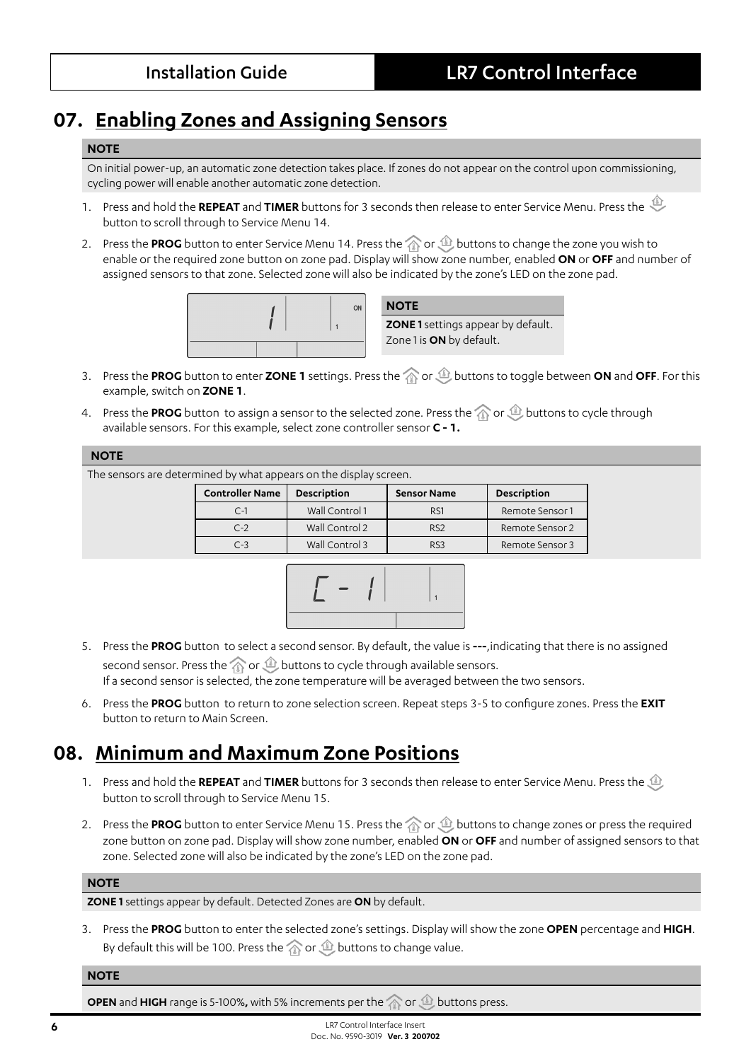# **07. Enabling Zones and Assigning Sensors**

#### **NOTE**

On initial power-up, an automatic zone detection takes place. If zones do not appear on the control upon commissioning, cycling power will enable another automatic zone detection.

- 1. Press and hold the **REPEAT** and **TIMER** buttons for 3 seconds then release to enter Service Menu. Press the button to scroll through to Service Menu 14.
- 2. Press the PROG button to enter Service Menu 14. Press the **or buttons to change the zone you wish to** enable or the required zone button on zone pad. Display will show zone number, enabled **ON** or **OFF** and number of assigned sensors to that zone. Selected zone will also be indicated by the zone's LED on the zone pad.





- 3. Press the PROG button to enter ZONE 1 settings. Press the  $\otimes$  or  $\otimes$  buttons to toggle between ON and OFF. For this example, switch on **ZONE 1**.
- 4. Press the PROG button to assign a sensor to the selected zone. Press the **or all puttons to cycle through** available sensors. For this example, select zone controller sensor **C - 1.**

#### **NOTE**

The sensors are determined by what appears on the display screen.

| <b>Controller Name</b> | <b>Description</b> | <b>Sensor Name</b> | <b>Description</b> |
|------------------------|--------------------|--------------------|--------------------|
| $C-1$                  | Wall Control 1     | R <sub>S1</sub>    | Remote Sensor 1    |
| $C-2$                  | Wall Control 2     | R <sub>S2</sub>    | Remote Sensor 2    |
| $C-3$                  | Wall Control 3     | RS <sub>3</sub>    | Remote Sensor 3    |



- 5. Press the **PROG** button to select a second sensor. By default, the value is **---**,indicating that there is no assigned second sensor. Press the  $\widehat{\wedge}$  or  $\widehat{\Phi}$  buttons to cycle through available sensors. If a second sensor is selected, the zone temperature will be averaged between the two sensors.
- 6. Press the **PROG** button to return to zone selection screen. Repeat steps 3-5 to configure zones. Press the **EXIT** button to return to Main Screen.

# **08. Minimum and Maximum Zone Positions**

- 1. Press and hold the **REPEAT** and **TIMER** buttons for 3 seconds then release to enter Service Menu. Press the button to scroll through to Service Menu 15.
- 2. Press the PROG button to enter Service Menu 15. Press the **or buttons to change zones or press the required** zone button on zone pad. Display will show zone number, enabled **ON** or **OFF** and number of assigned sensors to that zone. Selected zone will also be indicated by the zone's LED on the zone pad.

#### **NOTE**

**ZONE 1** settings appear by default. Detected Zones are **ON** by default.

3. Press the **PROG** button to enter the selected zone's settings. Display will show the zone **OPEN** percentage and **HIGH**. By default this will be 100. Press the  $\textcircled{r}$  or  $\textcircled{r}$  buttons to change value.

#### **NOTE**

**OPEN** and **HIGH** range is 5-100%, with 5% increments per the  $\textcircled{r}$  or  $\textcircled{r}$  buttons press.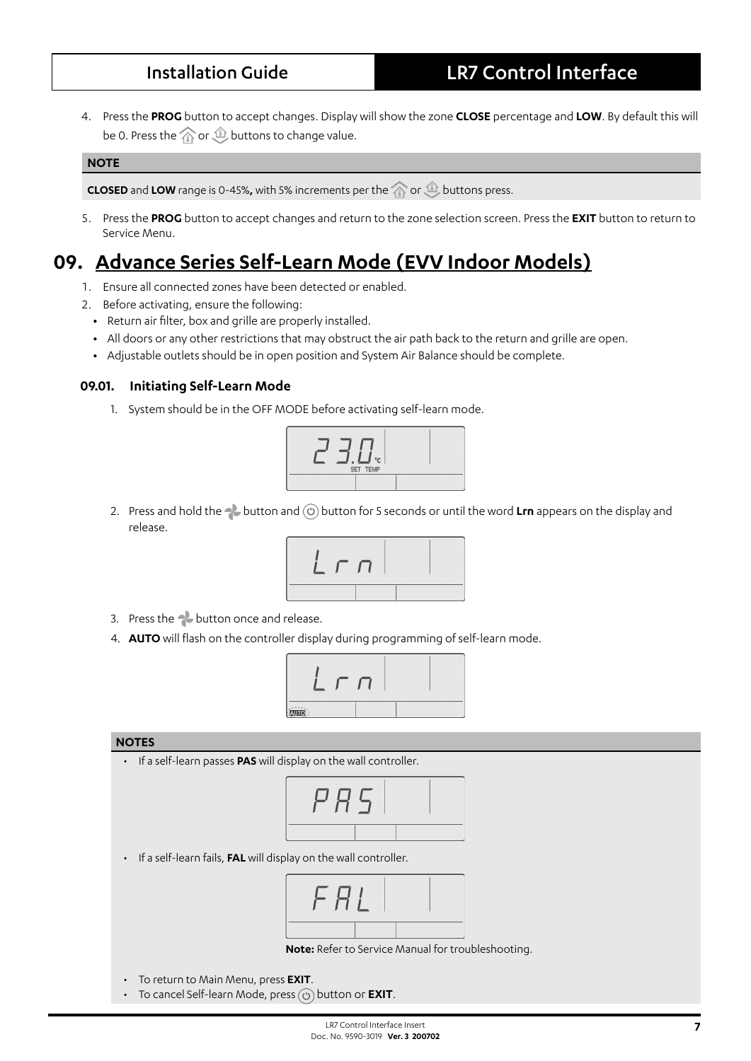4. Press the **PROG** button to accept changes. Display will show the zone **CLOSE** percentage and **LOW**. By default this will be 0. Press the  $\widehat{\otimes}$  or  $\widehat{\otimes}$  buttons to change value.

#### **NOTE**

**CLOSED** and LOW range is 0-45%, with 5% increments per the  $\textcircled{r}$  or  $\textcircled{r}$  buttons press.

5. Press the **PROG** button to accept changes and return to the zone selection screen. Press the **EXIT** button to return to Service Menu.

# **09. Advance Series Self-Learn Mode (EVV Indoor Models)**

- 1. Ensure all connected zones have been detected or enabled.
- 2. Before activating, ensure the following:
	- **•** Return air filter, box and grille are properly installed.
	- **•** All doors or any other restrictions that may obstruct the air path back to the return and grille are open.
	- **•** Adjustable outlets should be in open position and System Air Balance should be complete.

#### **09.01. Initiating Self-Learn Mode**

1. System should be in the OFF MODE before activating self-learn mode.



2. Press and hold the **button and (0)** button for 5 seconds or until the word Lrn appears on the display and release.



- 3. Press the **button** once and release.
- 4. **AUTO** will flash on the controller display during programming of self-learn mode.



#### **NOTES**

• If a self-learn passes **PAS** will display on the wall controller.



• If a self-learn fails, **FAL** will display on the wall controller.



**Note:** Refer to Service Manual for troubleshooting.

- To return to Main Menu, press **EXIT**.
- To cancel Self-learn Mode, press  $\textcircled{c}$  button or **EXIT**.